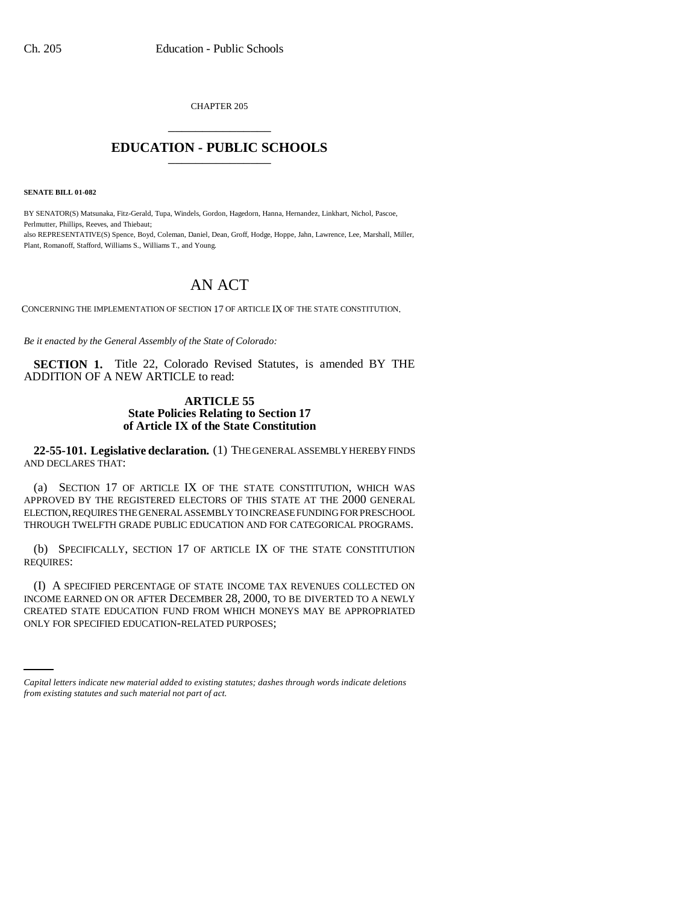CHAPTER 205 \_\_\_\_\_\_\_\_\_\_\_\_\_\_\_

## **EDUCATION - PUBLIC SCHOOLS** \_\_\_\_\_\_\_\_\_\_\_\_\_\_\_

**SENATE BILL 01-082**

BY SENATOR(S) Matsunaka, Fitz-Gerald, Tupa, Windels, Gordon, Hagedorn, Hanna, Hernandez, Linkhart, Nichol, Pascoe, Perlmutter, Phillips, Reeves, and Thiebaut; also REPRESENTATIVE(S) Spence, Boyd, Coleman, Daniel, Dean, Groff, Hodge, Hoppe, Jahn, Lawrence, Lee, Marshall, Miller, Plant, Romanoff, Stafford, Williams S., Williams T., and Young.

## AN ACT

CONCERNING THE IMPLEMENTATION OF SECTION 17 OF ARTICLE IX OF THE STATE CONSTITUTION.

*Be it enacted by the General Assembly of the State of Colorado:*

**SECTION 1.** Title 22, Colorado Revised Statutes, is amended BY THE ADDITION OF A NEW ARTICLE to read:

## **ARTICLE 55 State Policies Relating to Section 17 of Article IX of the State Constitution**

**22-55-101. Legislative declaration.** (1) THE GENERAL ASSEMBLY HEREBY FINDS AND DECLARES THAT:

(a) SECTION 17 OF ARTICLE IX OF THE STATE CONSTITUTION, WHICH WAS APPROVED BY THE REGISTERED ELECTORS OF THIS STATE AT THE 2000 GENERAL ELECTION, REQUIRES THE GENERAL ASSEMBLY TO INCREASE FUNDING FOR PRESCHOOL THROUGH TWELFTH GRADE PUBLIC EDUCATION AND FOR CATEGORICAL PROGRAMS.

(b) SPECIFICALLY, SECTION 17 OF ARTICLE IX OF THE STATE CONSTITUTION REQUIRES:

CREATED STATE EDUCATION FUND FROM WHICH MONEYS MAY BE APPROPRIATED (I) A SPECIFIED PERCENTAGE OF STATE INCOME TAX REVENUES COLLECTED ON INCOME EARNED ON OR AFTER DECEMBER 28, 2000, TO BE DIVERTED TO A NEWLY ONLY FOR SPECIFIED EDUCATION-RELATED PURPOSES;

*Capital letters indicate new material added to existing statutes; dashes through words indicate deletions from existing statutes and such material not part of act.*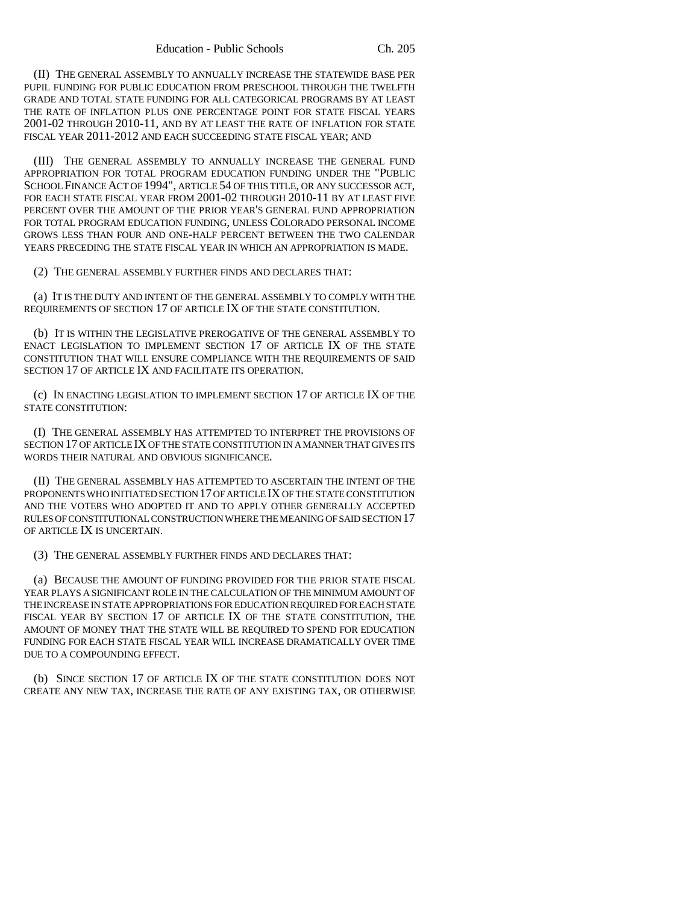(II) THE GENERAL ASSEMBLY TO ANNUALLY INCREASE THE STATEWIDE BASE PER PUPIL FUNDING FOR PUBLIC EDUCATION FROM PRESCHOOL THROUGH THE TWELFTH GRADE AND TOTAL STATE FUNDING FOR ALL CATEGORICAL PROGRAMS BY AT LEAST THE RATE OF INFLATION PLUS ONE PERCENTAGE POINT FOR STATE FISCAL YEARS 2001-02 THROUGH 2010-11, AND BY AT LEAST THE RATE OF INFLATION FOR STATE FISCAL YEAR 2011-2012 AND EACH SUCCEEDING STATE FISCAL YEAR; AND

(III) THE GENERAL ASSEMBLY TO ANNUALLY INCREASE THE GENERAL FUND APPROPRIATION FOR TOTAL PROGRAM EDUCATION FUNDING UNDER THE "PUBLIC SCHOOL FINANCE ACT OF 1994", ARTICLE 54 OF THIS TITLE, OR ANY SUCCESSOR ACT, FOR EACH STATE FISCAL YEAR FROM 2001-02 THROUGH 2010-11 BY AT LEAST FIVE PERCENT OVER THE AMOUNT OF THE PRIOR YEAR'S GENERAL FUND APPROPRIATION FOR TOTAL PROGRAM EDUCATION FUNDING, UNLESS COLORADO PERSONAL INCOME GROWS LESS THAN FOUR AND ONE-HALF PERCENT BETWEEN THE TWO CALENDAR YEARS PRECEDING THE STATE FISCAL YEAR IN WHICH AN APPROPRIATION IS MADE.

(2) THE GENERAL ASSEMBLY FURTHER FINDS AND DECLARES THAT:

(a) IT IS THE DUTY AND INTENT OF THE GENERAL ASSEMBLY TO COMPLY WITH THE REQUIREMENTS OF SECTION 17 OF ARTICLE IX OF THE STATE CONSTITUTION.

(b) IT IS WITHIN THE LEGISLATIVE PREROGATIVE OF THE GENERAL ASSEMBLY TO ENACT LEGISLATION TO IMPLEMENT SECTION 17 OF ARTICLE IX OF THE STATE CONSTITUTION THAT WILL ENSURE COMPLIANCE WITH THE REQUIREMENTS OF SAID SECTION 17 OF ARTICLE IX AND FACILITATE ITS OPERATION.

(c) IN ENACTING LEGISLATION TO IMPLEMENT SECTION 17 OF ARTICLE IX OF THE STATE CONSTITUTION:

(I) THE GENERAL ASSEMBLY HAS ATTEMPTED TO INTERPRET THE PROVISIONS OF SECTION 17 OF ARTICLE IX OF THE STATE CONSTITUTION IN A MANNER THAT GIVES ITS WORDS THEIR NATURAL AND OBVIOUS SIGNIFICANCE.

(II) THE GENERAL ASSEMBLY HAS ATTEMPTED TO ASCERTAIN THE INTENT OF THE PROPONENTS WHO INITIATED SECTION 17 OF ARTICLE IX OF THE STATE CONSTITUTION AND THE VOTERS WHO ADOPTED IT AND TO APPLY OTHER GENERALLY ACCEPTED RULES OF CONSTITUTIONAL CONSTRUCTION WHERE THE MEANING OF SAID SECTION 17 OF ARTICLE IX IS UNCERTAIN.

(3) THE GENERAL ASSEMBLY FURTHER FINDS AND DECLARES THAT:

(a) BECAUSE THE AMOUNT OF FUNDING PROVIDED FOR THE PRIOR STATE FISCAL YEAR PLAYS A SIGNIFICANT ROLE IN THE CALCULATION OF THE MINIMUM AMOUNT OF THE INCREASE IN STATE APPROPRIATIONS FOR EDUCATION REQUIRED FOR EACH STATE FISCAL YEAR BY SECTION 17 OF ARTICLE IX OF THE STATE CONSTITUTION, THE AMOUNT OF MONEY THAT THE STATE WILL BE REQUIRED TO SPEND FOR EDUCATION FUNDING FOR EACH STATE FISCAL YEAR WILL INCREASE DRAMATICALLY OVER TIME DUE TO A COMPOUNDING EFFECT.

(b) SINCE SECTION 17 OF ARTICLE IX OF THE STATE CONSTITUTION DOES NOT CREATE ANY NEW TAX, INCREASE THE RATE OF ANY EXISTING TAX, OR OTHERWISE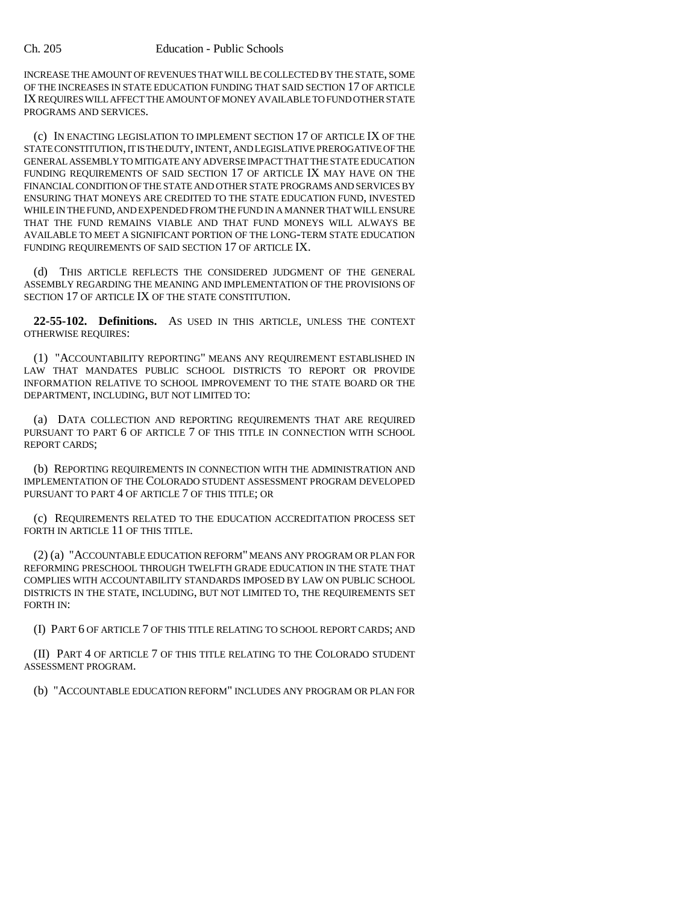## Ch. 205 Education - Public Schools

INCREASE THE AMOUNT OF REVENUES THAT WILL BE COLLECTED BY THE STATE, SOME OF THE INCREASES IN STATE EDUCATION FUNDING THAT SAID SECTION 17 OF ARTICLE IX REQUIRES WILL AFFECT THE AMOUNT OF MONEY AVAILABLE TO FUND OTHER STATE PROGRAMS AND SERVICES.

(c) IN ENACTING LEGISLATION TO IMPLEMENT SECTION 17 OF ARTICLE IX OF THE STATE CONSTITUTION, IT IS THE DUTY, INTENT, AND LEGISLATIVE PREROGATIVE OF THE GENERAL ASSEMBLY TO MITIGATE ANY ADVERSE IMPACT THAT THE STATE EDUCATION FUNDING REQUIREMENTS OF SAID SECTION 17 OF ARTICLE IX MAY HAVE ON THE FINANCIAL CONDITION OF THE STATE AND OTHER STATE PROGRAMS AND SERVICES BY ENSURING THAT MONEYS ARE CREDITED TO THE STATE EDUCATION FUND, INVESTED WHILE IN THE FUND, AND EXPENDED FROM THE FUND IN A MANNER THAT WILL ENSURE THAT THE FUND REMAINS VIABLE AND THAT FUND MONEYS WILL ALWAYS BE AVAILABLE TO MEET A SIGNIFICANT PORTION OF THE LONG-TERM STATE EDUCATION FUNDING REQUIREMENTS OF SAID SECTION 17 OF ARTICLE IX.

(d) THIS ARTICLE REFLECTS THE CONSIDERED JUDGMENT OF THE GENERAL ASSEMBLY REGARDING THE MEANING AND IMPLEMENTATION OF THE PROVISIONS OF SECTION 17 OF ARTICLE IX OF THE STATE CONSTITUTION.

**22-55-102. Definitions.** AS USED IN THIS ARTICLE, UNLESS THE CONTEXT OTHERWISE REQUIRES:

(1) "ACCOUNTABILITY REPORTING" MEANS ANY REQUIREMENT ESTABLISHED IN LAW THAT MANDATES PUBLIC SCHOOL DISTRICTS TO REPORT OR PROVIDE INFORMATION RELATIVE TO SCHOOL IMPROVEMENT TO THE STATE BOARD OR THE DEPARTMENT, INCLUDING, BUT NOT LIMITED TO:

(a) DATA COLLECTION AND REPORTING REQUIREMENTS THAT ARE REQUIRED PURSUANT TO PART 6 OF ARTICLE 7 OF THIS TITLE IN CONNECTION WITH SCHOOL REPORT CARDS;

(b) REPORTING REQUIREMENTS IN CONNECTION WITH THE ADMINISTRATION AND IMPLEMENTATION OF THE COLORADO STUDENT ASSESSMENT PROGRAM DEVELOPED PURSUANT TO PART 4 OF ARTICLE 7 OF THIS TITLE; OR

(c) REQUIREMENTS RELATED TO THE EDUCATION ACCREDITATION PROCESS SET FORTH IN ARTICLE 11 OF THIS TITLE.

(2) (a) "ACCOUNTABLE EDUCATION REFORM" MEANS ANY PROGRAM OR PLAN FOR REFORMING PRESCHOOL THROUGH TWELFTH GRADE EDUCATION IN THE STATE THAT COMPLIES WITH ACCOUNTABILITY STANDARDS IMPOSED BY LAW ON PUBLIC SCHOOL DISTRICTS IN THE STATE, INCLUDING, BUT NOT LIMITED TO, THE REQUIREMENTS SET FORTH IN:

(I) PART 6 OF ARTICLE 7 OF THIS TITLE RELATING TO SCHOOL REPORT CARDS; AND

(II) PART 4 OF ARTICLE 7 OF THIS TITLE RELATING TO THE COLORADO STUDENT ASSESSMENT PROGRAM.

(b) "ACCOUNTABLE EDUCATION REFORM" INCLUDES ANY PROGRAM OR PLAN FOR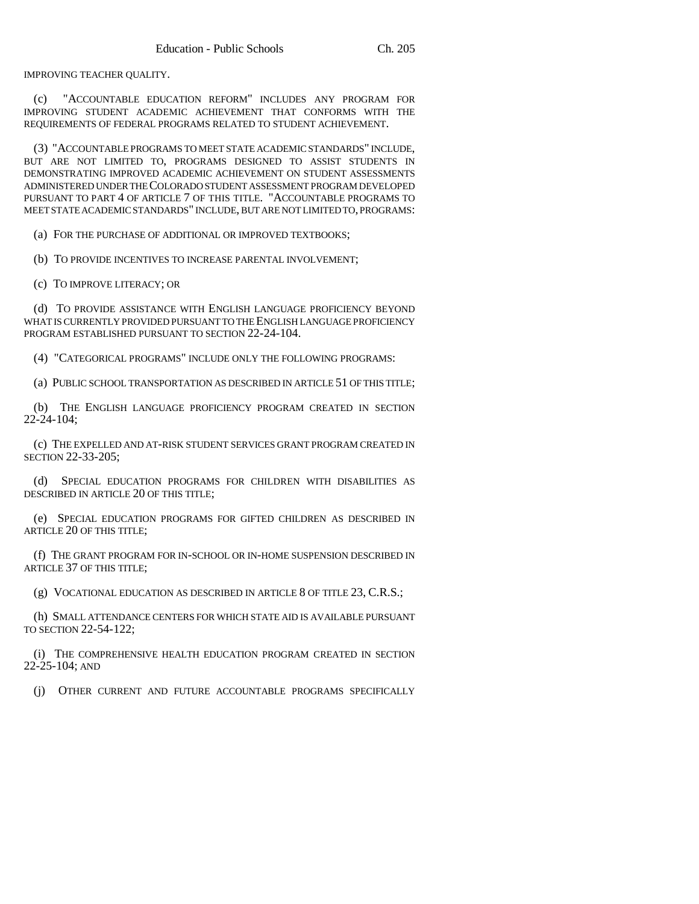IMPROVING TEACHER QUALITY.

(c) "ACCOUNTABLE EDUCATION REFORM" INCLUDES ANY PROGRAM FOR IMPROVING STUDENT ACADEMIC ACHIEVEMENT THAT CONFORMS WITH THE REQUIREMENTS OF FEDERAL PROGRAMS RELATED TO STUDENT ACHIEVEMENT.

(3) "ACCOUNTABLE PROGRAMS TO MEET STATE ACADEMIC STANDARDS" INCLUDE, BUT ARE NOT LIMITED TO, PROGRAMS DESIGNED TO ASSIST STUDENTS IN DEMONSTRATING IMPROVED ACADEMIC ACHIEVEMENT ON STUDENT ASSESSMENTS ADMINISTERED UNDER THE COLORADO STUDENT ASSESSMENT PROGRAM DEVELOPED PURSUANT TO PART 4 OF ARTICLE 7 OF THIS TITLE. "ACCOUNTABLE PROGRAMS TO MEET STATE ACADEMIC STANDARDS" INCLUDE, BUT ARE NOT LIMITED TO, PROGRAMS:

(a) FOR THE PURCHASE OF ADDITIONAL OR IMPROVED TEXTBOOKS;

(b) TO PROVIDE INCENTIVES TO INCREASE PARENTAL INVOLVEMENT;

(c) TO IMPROVE LITERACY; OR

(d) TO PROVIDE ASSISTANCE WITH ENGLISH LANGUAGE PROFICIENCY BEYOND WHAT IS CURRENTLY PROVIDED PURSUANT TO THE ENGLISH LANGUAGE PROFICIENCY PROGRAM ESTABLISHED PURSUANT TO SECTION 22-24-104.

(4) "CATEGORICAL PROGRAMS" INCLUDE ONLY THE FOLLOWING PROGRAMS:

(a) PUBLIC SCHOOL TRANSPORTATION AS DESCRIBED IN ARTICLE 51 OF THIS TITLE;

(b) THE ENGLISH LANGUAGE PROFICIENCY PROGRAM CREATED IN SECTION 22-24-104;

(c) THE EXPELLED AND AT-RISK STUDENT SERVICES GRANT PROGRAM CREATED IN SECTION 22-33-205;

(d) SPECIAL EDUCATION PROGRAMS FOR CHILDREN WITH DISABILITIES AS DESCRIBED IN ARTICLE 20 OF THIS TITLE;

(e) SPECIAL EDUCATION PROGRAMS FOR GIFTED CHILDREN AS DESCRIBED IN ARTICLE 20 OF THIS TITLE;

(f) THE GRANT PROGRAM FOR IN-SCHOOL OR IN-HOME SUSPENSION DESCRIBED IN ARTICLE 37 OF THIS TITLE;

(g) VOCATIONAL EDUCATION AS DESCRIBED IN ARTICLE 8 OF TITLE 23, C.R.S.;

(h) SMALL ATTENDANCE CENTERS FOR WHICH STATE AID IS AVAILABLE PURSUANT TO SECTION 22-54-122;

(i) THE COMPREHENSIVE HEALTH EDUCATION PROGRAM CREATED IN SECTION 22-25-104; AND

(j) OTHER CURRENT AND FUTURE ACCOUNTABLE PROGRAMS SPECIFICALLY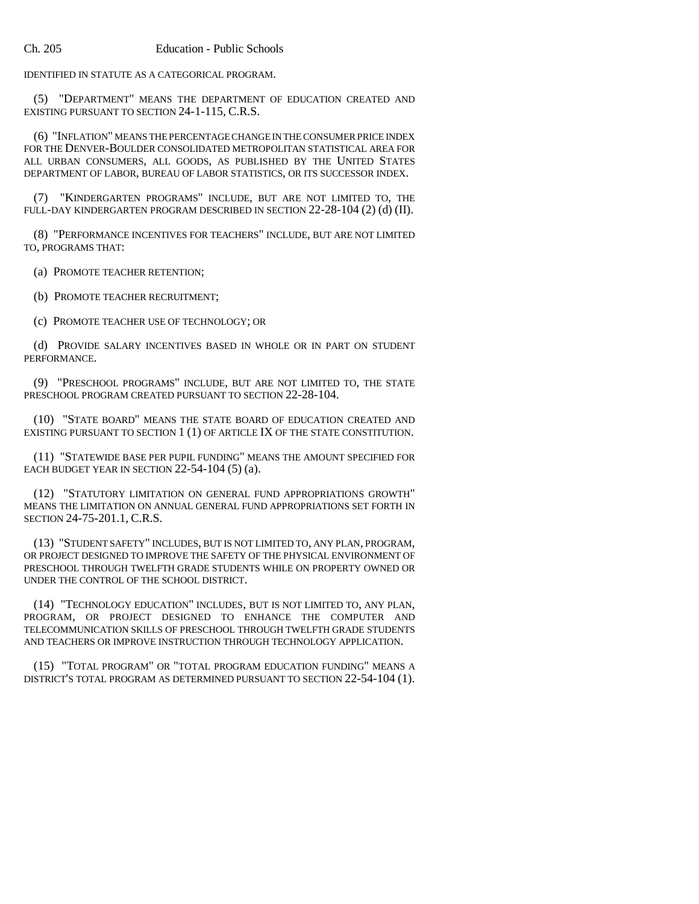IDENTIFIED IN STATUTE AS A CATEGORICAL PROGRAM.

(5) "DEPARTMENT" MEANS THE DEPARTMENT OF EDUCATION CREATED AND EXISTING PURSUANT TO SECTION 24-1-115, C.R.S.

(6) "INFLATION" MEANS THE PERCENTAGE CHANGE IN THE CONSUMER PRICE INDEX FOR THE DENVER-BOULDER CONSOLIDATED METROPOLITAN STATISTICAL AREA FOR ALL URBAN CONSUMERS, ALL GOODS, AS PUBLISHED BY THE UNITED STATES DEPARTMENT OF LABOR, BUREAU OF LABOR STATISTICS, OR ITS SUCCESSOR INDEX.

(7) "KINDERGARTEN PROGRAMS" INCLUDE, BUT ARE NOT LIMITED TO, THE FULL-DAY KINDERGARTEN PROGRAM DESCRIBED IN SECTION 22-28-104 (2) (d) (II).

(8) "PERFORMANCE INCENTIVES FOR TEACHERS" INCLUDE, BUT ARE NOT LIMITED TO, PROGRAMS THAT:

(a) PROMOTE TEACHER RETENTION;

(b) PROMOTE TEACHER RECRUITMENT;

(c) PROMOTE TEACHER USE OF TECHNOLOGY; OR

(d) PROVIDE SALARY INCENTIVES BASED IN WHOLE OR IN PART ON STUDENT PERFORMANCE.

(9) "PRESCHOOL PROGRAMS" INCLUDE, BUT ARE NOT LIMITED TO, THE STATE PRESCHOOL PROGRAM CREATED PURSUANT TO SECTION 22-28-104.

(10) "STATE BOARD" MEANS THE STATE BOARD OF EDUCATION CREATED AND EXISTING PURSUANT TO SECTION 1 (1) OF ARTICLE IX OF THE STATE CONSTITUTION.

(11) "STATEWIDE BASE PER PUPIL FUNDING" MEANS THE AMOUNT SPECIFIED FOR EACH BUDGET YEAR IN SECTION 22-54-104 (5) (a).

(12) "STATUTORY LIMITATION ON GENERAL FUND APPROPRIATIONS GROWTH" MEANS THE LIMITATION ON ANNUAL GENERAL FUND APPROPRIATIONS SET FORTH IN SECTION 24-75-201.1, C.R.S.

(13) "STUDENT SAFETY" INCLUDES, BUT IS NOT LIMITED TO, ANY PLAN, PROGRAM, OR PROJECT DESIGNED TO IMPROVE THE SAFETY OF THE PHYSICAL ENVIRONMENT OF PRESCHOOL THROUGH TWELFTH GRADE STUDENTS WHILE ON PROPERTY OWNED OR UNDER THE CONTROL OF THE SCHOOL DISTRICT.

(14) "TECHNOLOGY EDUCATION" INCLUDES, BUT IS NOT LIMITED TO, ANY PLAN, PROGRAM, OR PROJECT DESIGNED TO ENHANCE THE COMPUTER AND TELECOMMUNICATION SKILLS OF PRESCHOOL THROUGH TWELFTH GRADE STUDENTS AND TEACHERS OR IMPROVE INSTRUCTION THROUGH TECHNOLOGY APPLICATION.

(15) "TOTAL PROGRAM" OR "TOTAL PROGRAM EDUCATION FUNDING" MEANS A DISTRICT'S TOTAL PROGRAM AS DETERMINED PURSUANT TO SECTION 22-54-104 (1).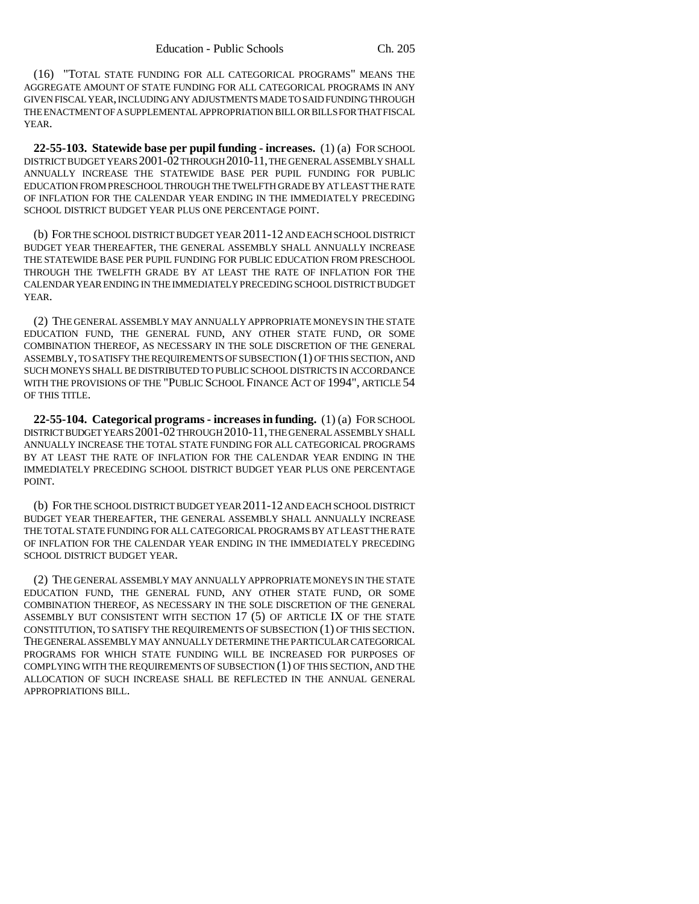(16) "TOTAL STATE FUNDING FOR ALL CATEGORICAL PROGRAMS" MEANS THE AGGREGATE AMOUNT OF STATE FUNDING FOR ALL CATEGORICAL PROGRAMS IN ANY GIVEN FISCAL YEAR, INCLUDING ANY ADJUSTMENTS MADE TO SAID FUNDING THROUGH THE ENACTMENT OF A SUPPLEMENTAL APPROPRIATION BILL OR BILLS FOR THAT FISCAL YEAR.

**22-55-103. Statewide base per pupil funding - increases.** (1) (a) FOR SCHOOL DISTRICT BUDGET YEARS 2001-02 THROUGH 2010-11, THE GENERAL ASSEMBLY SHALL ANNUALLY INCREASE THE STATEWIDE BASE PER PUPIL FUNDING FOR PUBLIC EDUCATION FROM PRESCHOOL THROUGH THE TWELFTH GRADE BY AT LEAST THE RATE OF INFLATION FOR THE CALENDAR YEAR ENDING IN THE IMMEDIATELY PRECEDING SCHOOL DISTRICT BUDGET YEAR PLUS ONE PERCENTAGE POINT.

(b) FOR THE SCHOOL DISTRICT BUDGET YEAR 2011-12 AND EACH SCHOOL DISTRICT BUDGET YEAR THEREAFTER, THE GENERAL ASSEMBLY SHALL ANNUALLY INCREASE THE STATEWIDE BASE PER PUPIL FUNDING FOR PUBLIC EDUCATION FROM PRESCHOOL THROUGH THE TWELFTH GRADE BY AT LEAST THE RATE OF INFLATION FOR THE CALENDAR YEAR ENDING IN THE IMMEDIATELY PRECEDING SCHOOL DISTRICT BUDGET YEAR.

(2) THE GENERAL ASSEMBLY MAY ANNUALLY APPROPRIATE MONEYS IN THE STATE EDUCATION FUND, THE GENERAL FUND, ANY OTHER STATE FUND, OR SOME COMBINATION THEREOF, AS NECESSARY IN THE SOLE DISCRETION OF THE GENERAL ASSEMBLY, TO SATISFY THE REQUIREMENTS OF SUBSECTION (1) OF THIS SECTION, AND SUCH MONEYS SHALL BE DISTRIBUTED TO PUBLIC SCHOOL DISTRICTS IN ACCORDANCE WITH THE PROVISIONS OF THE "PUBLIC SCHOOL FINANCE ACT OF 1994", ARTICLE 54 OF THIS TITLE.

**22-55-104. Categorical programs - increases in funding.** (1) (a) FOR SCHOOL DISTRICT BUDGET YEARS 2001-02 THROUGH 2010-11, THE GENERAL ASSEMBLY SHALL ANNUALLY INCREASE THE TOTAL STATE FUNDING FOR ALL CATEGORICAL PROGRAMS BY AT LEAST THE RATE OF INFLATION FOR THE CALENDAR YEAR ENDING IN THE IMMEDIATELY PRECEDING SCHOOL DISTRICT BUDGET YEAR PLUS ONE PERCENTAGE POINT.

(b) FOR THE SCHOOL DISTRICT BUDGET YEAR 2011-12 AND EACH SCHOOL DISTRICT BUDGET YEAR THEREAFTER, THE GENERAL ASSEMBLY SHALL ANNUALLY INCREASE THE TOTAL STATE FUNDING FOR ALL CATEGORICAL PROGRAMS BY AT LEAST THE RATE OF INFLATION FOR THE CALENDAR YEAR ENDING IN THE IMMEDIATELY PRECEDING SCHOOL DISTRICT BUDGET YEAR.

(2) THE GENERAL ASSEMBLY MAY ANNUALLY APPROPRIATE MONEYS IN THE STATE EDUCATION FUND, THE GENERAL FUND, ANY OTHER STATE FUND, OR SOME COMBINATION THEREOF, AS NECESSARY IN THE SOLE DISCRETION OF THE GENERAL ASSEMBLY BUT CONSISTENT WITH SECTION 17 (5) OF ARTICLE IX OF THE STATE CONSTITUTION, TO SATISFY THE REQUIREMENTS OF SUBSECTION (1) OF THIS SECTION. THE GENERAL ASSEMBLY MAY ANNUALLY DETERMINE THE PARTICULAR CATEGORICAL PROGRAMS FOR WHICH STATE FUNDING WILL BE INCREASED FOR PURPOSES OF COMPLYING WITH THE REQUIREMENTS OF SUBSECTION (1) OF THIS SECTION, AND THE ALLOCATION OF SUCH INCREASE SHALL BE REFLECTED IN THE ANNUAL GENERAL APPROPRIATIONS BILL.